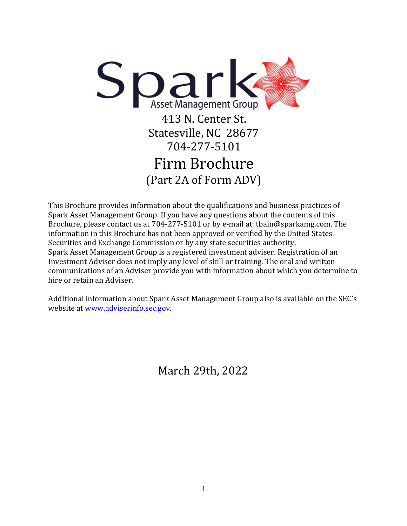

This Brochure provides information about the qualifications and business practices of Spark Asset Management Group. If you have any questions about the contents of this Brochure, please contact us at  $704-277-5101$  or by e-mail at: tbain@sparkamg.com. The information in this Brochure has not been approved or verified by the United States Securities and Exchange Commission or by any state securities authority. Spark Asset Management Group is a registered investment adviser. Registration of an Investment Adviser does not imply any level of skill or training. The oral and written communications of an Adviser provide you with information about which you determine to hire or retain an Adviser.

Additional information about Spark Asset Management Group also is available on the SEC's website at www.adviserinfo.sec.gov.

March 29th, 2022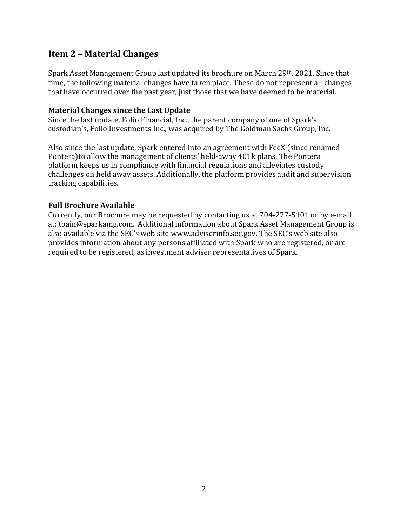# **Item 2 – Material Changes**

Spark Asset Management Group last updated its brochure on March 29th, 2021. Since that time, the following material changes have taken place. These do not represent all changes that have occurred over the past year, just those that we have deemed to be material.

#### **Material Changes since the Last Update**

Since the last update, Folio Financial, Inc., the parent company of one of Spark's custodian's, Folio Investments Inc., was acquired by The Goldman Sachs Group, Inc.

Also since the last update, Spark entered into an agreement with FeeX (since renamed Pontera) to allow the management of clients' held-away 401k plans. The Pontera platform keeps us in compliance with financial regulations and alleviates custody challenges on held away assets. Additionally, the platform provides audit and supervision tracking capabilities.

#### **Full Brochure Available**

Currently, our Brochure may be requested by contacting us at 704-277-5101 or by e-mail at: tbain@sparkamg.com. Additional information about Spark Asset Management Group is also available via the SEC's web site www.adviserinfo.sec.gov. The SEC's web site also provides information about any persons affiliated with Spark who are registered, or are required to be registered, as investment adviser representatives of Spark.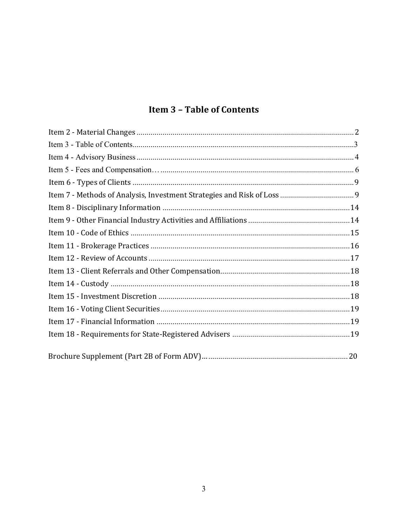# **Item 3 - Table of Contents**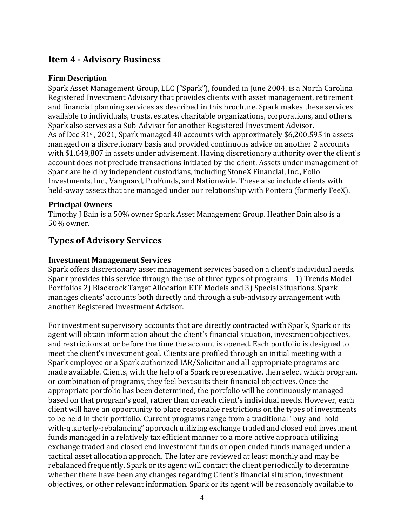# **Item 4 - Advisory Business**

### **Firm Description**

Spark Asset Management Group, LLC ("Spark"), founded in June 2004, is a North Carolina Registered Investment Advisory that provides clients with asset management, retirement and financial planning services as described in this brochure. Spark makes these services available to individuals, trusts, estates, charitable organizations, corporations, and others. Spark also serves as a Sub-Advisor for another Registered Investment Advisor. As of Dec  $31^{st}$ , 2021, Spark managed 40 accounts with approximately \$6,200,595 in assets managed on a discretionary basis and provided continuous advice on another 2 accounts with \$1,649,807 in assets under advisement. Having discretionary authority over the client's account does not preclude transactions initiated by the client. Assets under management of Spark are held by independent custodians, including StoneX Financial, Inc., Folio Investments, Inc., Vanguard, ProFunds, and Nationwide. These also include clients with held-away assets that are managed under our relationship with Pontera (formerly FeeX).

#### **Principal Owners**

Timothy J Bain is a 50% owner Spark Asset Management Group. Heather Bain also is a 50% owner.

# **Types of Advisory Services**

#### **Investment Management Services**

Spark offers discretionary asset management services based on a client's individual needs. Spark provides this service through the use of three types of programs – 1) Trends Model Portfolios 2) Blackrock Target Allocation ETF Models and 3) Special Situations. Spark manages clients' accounts both directly and through a sub-advisory arrangement with another Registered Investment Advisor.

For investment supervisory accounts that are directly contracted with Spark, Spark or its agent will obtain information about the client's financial situation, investment objectives, and restrictions at or before the time the account is opened. Each portfolio is designed to meet the client's investment goal. Clients are profiled through an initial meeting with a Spark employee or a Spark authorized IAR/Solicitor and all appropriate programs are made available. Clients, with the help of a Spark representative, then select which program, or combination of programs, they feel best suits their financial objectives. Once the appropriate portfolio has been determined, the portfolio will be continuously managed based on that program's goal, rather than on each client's individual needs. However, each client will have an opportunity to place reasonable restrictions on the types of investments to be held in their portfolio. Current programs range from a traditional "buy-and-holdwith-quarterly-rebalancing" approach utilizing exchange traded and closed end investment funds managed in a relatively tax efficient manner to a more active approach utilizing exchange traded and closed end investment funds or open ended funds managed under a tactical asset allocation approach. The later are reviewed at least monthly and may be rebalanced frequently. Spark or its agent will contact the client periodically to determine whether there have been any changes regarding Client's financial situation, investment objectives, or other relevant information. Spark or its agent will be reasonably available to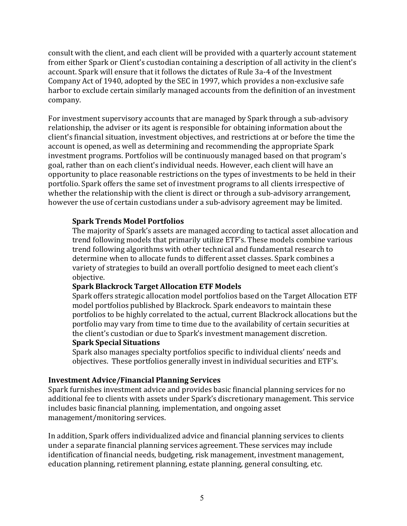consult with the client, and each client will be provided with a quarterly account statement from either Spark or Client's custodian containing a description of all activity in the client's account. Spark will ensure that it follows the dictates of Rule 3a-4 of the Investment Company Act of 1940, adopted by the SEC in 1997, which provides a non-exclusive safe harbor to exclude certain similarly managed accounts from the definition of an investment company.

For investment supervisory accounts that are managed by Spark through a sub-advisory relationship, the adviser or its agent is responsible for obtaining information about the client's financial situation, investment objectives, and restrictions at or before the time the account is opened, as well as determining and recommending the appropriate Spark investment programs. Portfolios will be continuously managed based on that program's goal, rather than on each client's individual needs. However, each client will have an opportunity to place reasonable restrictions on the types of investments to be held in their portfolio. Spark offers the same set of investment programs to all clients irrespective of whether the relationship with the client is direct or through a sub-advisory arrangement, however the use of certain custodians under a sub-advisory agreement may be limited.

#### **Spark Trends Model Portfolios**

The majority of Spark's assets are managed according to tactical asset allocation and trend following models that primarily utilize ETF's. These models combine various trend following algorithms with other technical and fundamental research to determine when to allocate funds to different asset classes. Spark combines a variety of strategies to build an overall portfolio designed to meet each client's objective.

## **Spark Blackrock Target Allocation ETF Models**

Spark offers strategic allocation model portfolios based on the Target Allocation ETF model portfolios published by Blackrock. Spark endeavors to maintain these portfolios to be highly correlated to the actual, current Blackrock allocations but the portfolio may vary from time to time due to the availability of certain securities at the client's custodian or due to Spark's investment management discretion. **Spark Special Situations**

Spark also manages specialty portfolios specific to individual clients' needs and objectives. These portfolios generally invest in individual securities and ETF's.

#### **Investment Advice/Financial Planning Services**

Spark furnishes investment advice and provides basic financial planning services for no additional fee to clients with assets under Spark's discretionary management. This service includes basic financial planning, implementation, and ongoing asset management/monitoring services.

In addition, Spark offers individualized advice and financial planning services to clients under a separate financial planning services agreement. These services may include identification of financial needs, budgeting, risk management, investment management, education planning, retirement planning, estate planning, general consulting, etc.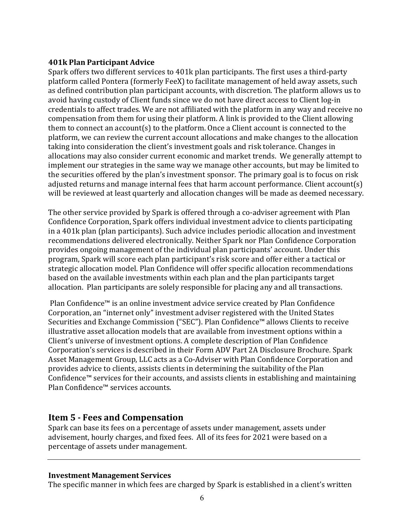## **401k Plan Participant Advice**

Spark offers two different services to 401k plan participants. The first uses a third-party platform called Pontera (formerly FeeX) to facilitate management of held away assets, such as defined contribution plan participant accounts, with discretion. The platform allows us to avoid having custody of Client funds since we do not have direct access to Client log-in credentials to affect trades. We are not affiliated with the platform in any way and receive no compensation from them for using their platform. A link is provided to the Client allowing them to connect an account(s) to the platform. Once a Client account is connected to the platform, we can review the current account allocations and make changes to the allocation taking into consideration the client's investment goals and risk tolerance. Changes in allocations may also consider current economic and market trends. We generally attempt to implement our strategies in the same way we manage other accounts, but may be limited to the securities offered by the plan's investment sponsor. The primary goal is to focus on risk adjusted returns and manage internal fees that harm account performance. Client account(s) will be reviewed at least quarterly and allocation changes will be made as deemed necessary.

The other service provided by Spark is offered through a co-adviser agreement with Plan Confidence Corporation, Spark offers individual investment advice to clients participating in a 401k plan (plan participants). Such advice includes periodic allocation and investment recommendations delivered electronically. Neither Spark nor Plan Confidence Corporation provides ongoing management of the individual plan participants' account. Under this program, Spark will score each plan participant's risk score and offer either a tactical or strategic allocation model. Plan Confidence will offer specific allocation recommendations based on the available investments within each plan and the plan participants target allocation. Plan participants are solely responsible for placing any and all transactions.

Plan Confidence™ is an online investment advice service created by Plan Confidence Corporation, an "internet only" investment adviser registered with the United States Securities and Exchange Commission ("SEC"). Plan Confidence™ allows Clients to receive illustrative asset allocation models that are available from investment options within a Client's universe of investment options. A complete description of Plan Confidence Corporation's services is described in their Form ADV Part 2A Disclosure Brochure. Spark Asset Management Group, LLC acts as a Co-Adviser with Plan Confidence Corporation and provides advice to clients, assists clients in determining the suitability of the Plan Confidence™ services for their accounts, and assists clients in establishing and maintaining Plan Confidence™ services accounts.

# **Item 5 - Fees and Compensation**

Spark can base its fees on a percentage of assets under management, assets under advisement, hourly charges, and fixed fees. All of its fees for 2021 were based on a percentage of assets under management.

## **Investment Management Services**

The specific manner in which fees are charged by Spark is established in a client's written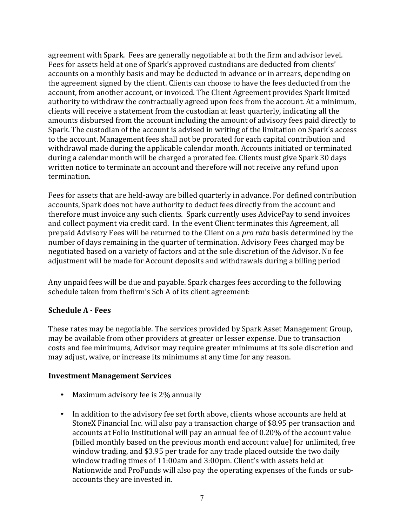agreement with Spark. Fees are generally negotiable at both the firm and advisor level. Fees for assets held at one of Spark's approved custodians are deducted from clients' accounts on a monthly basis and may be deducted in advance or in arrears, depending on the agreement signed by the client. Clients can choose to have the fees deducted from the account, from another account, or invoiced. The Client Agreement provides Spark limited authority to withdraw the contractually agreed upon fees from the account. At a minimum, clients will receive a statement from the custodian at least quarterly, indicating all the amounts disbursed from the account including the amount of advisory fees paid directly to Spark. The custodian of the account is advised in writing of the limitation on Spark's access to the account. Management fees shall not be prorated for each capital contribution and withdrawal made during the applicable calendar month. Accounts initiated or terminated during a calendar month will be charged a prorated fee. Clients must give Spark 30 days written notice to terminate an account and therefore will not receive any refund upon termination.

Fees for assets that are held-away are billed quarterly in advance. For defined contribution accounts, Spark does not have authority to deduct fees directly from the account and therefore must invoice any such clients. Spark currently uses AdvicePay to send invoices and collect payment via credit card. In the event Client terminates this Agreement, all prepaid Advisory Fees will be returned to the Client on a *pro rata* basis determined by the number of days remaining in the quarter of termination. Advisory Fees charged may be negotiated based on a variety of factors and at the sole discretion of the Advisor. No fee adjustment will be made for Account deposits and withdrawals during a billing period

Any unpaid fees will be due and payable. Spark charges fees according to the following schedule taken from thefirm's Sch A of its client agreement:

## **Schedule A - Fees**

These rates may be negotiable. The services provided by Spark Asset Management Group, may be available from other providers at greater or lesser expense. Due to transaction costs and fee minimums, Advisor may require greater minimums at its sole discretion and may adjust, waive, or increase its minimums at any time for any reason.

## **Investment Management Services**

- Maximum advisory fee is 2% annually
- In addition to the advisory fee set forth above, clients whose accounts are held at StoneX Financial Inc. will also pay a transaction charge of \$8.95 per transaction and accounts at Folio Institutional will pay an annual fee of 0.20% of the account value (billed monthly based on the previous month end account value) for unlimited, free window trading, and \$3.95 per trade for any trade placed outside the two daily window trading times of 11:00am and 3:00pm. Client's with assets held at Nationwide and ProFunds will also pay the operating expenses of the funds or subaccounts they are invested in.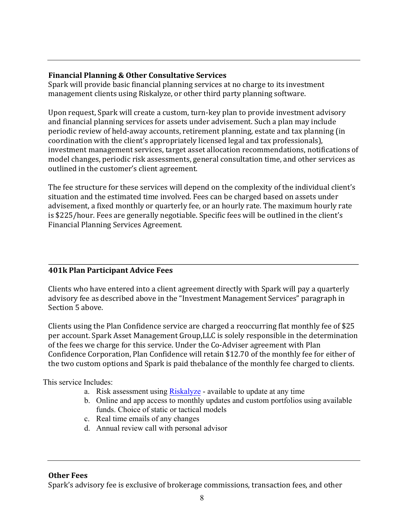## **Financial Planning & Other Consultative Services**

Spark will provide basic financial planning services at no charge to its investment management clients using Riskalyze, or other third party planning software.

Upon request, Spark will create a custom, turn-key plan to provide investment advisory and financial planning services for assets under advisement. Such a plan may include periodic review of held-away accounts, retirement planning, estate and tax planning (in coordination with the client's appropriately licensed legal and tax professionals), investment management services, target asset allocation recommendations, notifications of model changes, periodic risk assessments, general consultation time, and other services as outlined in the customer's client agreement.

The fee structure for these services will depend on the complexity of the individual client's situation and the estimated time involved. Fees can be charged based on assets under advisement, a fixed monthly or quarterly fee, or an hourly rate. The maximum hourly rate is \$225/hour. Fees are generally negotiable. Specific fees will be outlined in the client's Financial Planning Services Agreement.

# **401k Plan Participant Advice Fees**

Clients who have entered into a client agreement directly with Spark will pay a quarterly advisory fee as described above in the "Investment Management Services" paragraph in Section 5 above.

Clients using the Plan Confidence service are charged a reoccurring flat monthly fee of \$25 per account. Spark Asset Management Group, LLC is solely responsible in the determination of the fees we charge for this service. Under the Co-Adviser agreement with Plan Confidence Corporation, Plan Confidence will retain \$12.70 of the monthly fee for either of the two custom options and Spark is paid thebalance of the monthly fee charged to clients.

This service Includes:

- a. Risk assessment using Riskalyze available to update at any time
- b. Online and app access to monthly updates and custom portfolios using available funds. Choice of static or tactical models
- c. Real time emails of any changes
- d. Annual review call with personal advisor

**Other Fees**

Spark's advisory fee is exclusive of brokerage commissions, transaction fees, and other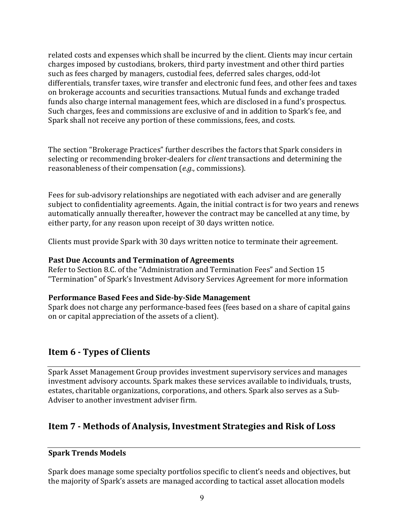related costs and expenses which shall be incurred by the client. Clients may incur certain charges imposed by custodians, brokers, third party investment and other third parties such as fees charged by managers, custodial fees, deferred sales charges, odd-lot differentials, transfer taxes, wire transfer and electronic fund fees, and other fees and taxes on brokerage accounts and securities transactions. Mutual funds and exchange traded funds also charge internal management fees, which are disclosed in a fund's prospectus. Such charges, fees and commissions are exclusive of and in addition to Spark's fee, and Spark shall not receive any portion of these commissions, fees, and costs.

The section "Brokerage Practices" further describes the factors that Spark considers in selecting or recommending broker-dealers for *client* transactions and determining the reasonableness of their compensation (*e.g.*, commissions).

Fees for sub-advisory relationships are negotiated with each adviser and are generally subject to confidentiality agreements. Again, the initial contract is for two years and renews automatically annually thereafter, however the contract may be cancelled at any time, by either party, for any reason upon receipt of 30 days written notice.

Clients must provide Spark with 30 days written notice to terminate their agreement.

#### **Past Due Accounts and Termination of Agreements**

Refer to Section 8.C. of the "Administration and Termination Fees" and Section 15 "Termination" of Spark's Investment Advisory Services Agreement for more information

## **Performance Based Fees and Side-by-Side Management**

Spark does not charge any performance-based fees (fees based on a share of capital gains on or capital appreciation of the assets of a client).

# **Item 6 - Types of Clients**

Spark Asset Management Group provides investment supervisory services and manages investment advisory accounts. Spark makes these services available to individuals, trusts, estates, charitable organizations, corporations, and others. Spark also serves as a Sub-Adviser to another investment adviser firm.

# **Item 7 - Methods of Analysis, Investment Strategies and Risk of Loss**

## **Spark Trends Models**

Spark does manage some specialty portfolios specific to client's needs and objectives, but the majority of Spark's assets are managed according to tactical asset allocation models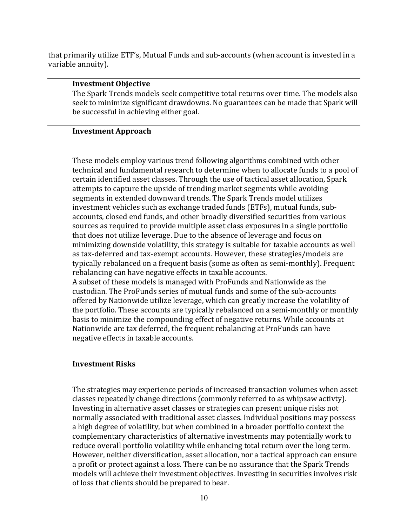that primarily utilize ETF's, Mutual Funds and sub-accounts (when account is invested in a variable annuity).

#### **Investment Objective**

The Spark Trends models seek competitive total returns over time. The models also seek to minimize significant drawdowns. No guarantees can be made that Spark will be successful in achieving either goal.

#### **Investment Approach**

These models employ various trend following algorithms combined with other technical and fundamental research to determine when to allocate funds to a pool of certain identified asset classes. Through the use of tactical asset allocation, Spark attempts to capture the upside of trending market segments while avoiding segments in extended downward trends. The Spark Trends model utilizes investment vehicles such as exchange traded funds (ETFs), mutual funds, subaccounts, closed end funds, and other broadly diversified securities from various sources as required to provide multiple asset class exposures in a single portfolio that does not utilize leverage. Due to the absence of leverage and focus on minimizing downside volatility, this strategy is suitable for taxable accounts as well as tax-deferred and tax-exempt accounts. However, these strategies/models are typically rebalanced on a frequent basis (some as often as semi-monthly). Frequent rebalancing can have negative effects in taxable accounts. A subset of these models is managed with ProFunds and Nationwide as the

custodian. The ProFunds series of mutual funds and some of the sub-accounts offered by Nationwide utilize leverage, which can greatly increase the volatility of the portfolio. These accounts are typically rebalanced on a semi-monthly or monthly basis to minimize the compounding effect of negative returns. While accounts at Nationwide are tax deferred, the frequent rebalancing at ProFunds can have negative effects in taxable accounts.

#### **Investment Risks**

The strategies may experience periods of increased transaction volumes when asset classes repeatedly change directions (commonly referred to as whipsaw activty). Investing in alternative asset classes or strategies can present unique risks not normally associated with traditional asset classes. Individual positions may possess a high degree of volatility, but when combined in a broader portfolio context the complementary characteristics of alternative investments may potentially work to reduce overall portfolio volatility while enhancing total return over the long term. However, neither diversification, asset allocation, nor a tactical approach can ensure a profit or protect against a loss. There can be no assurance that the Spark Trends models will achieve their investment objectives. Investing in securities involves risk of loss that clients should be prepared to bear.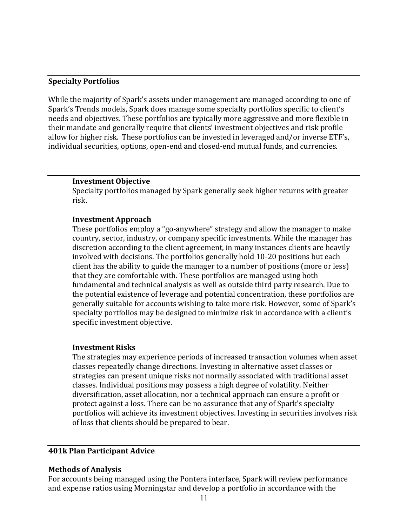#### **Specialty Portfolios**

While the majority of Spark's assets under management are managed according to one of Spark's Trends models, Spark does manage some specialty portfolios specific to client's needs and objectives. These portfolios are typically more aggressive and more flexible in their mandate and generally require that clients' investment objectives and risk profile allow for higher risk. These portfolios can be invested in leveraged and/or inverse ETF's, individual securities, options, open-end and closed-end mutual funds, and currencies.

#### **Investment Objective**

Specialty portfolios managed by Spark generally seek higher returns with greater risk.

#### **Investment Approach**

These portfolios employ a "go-anywhere" strategy and allow the manager to make country, sector, industry, or company specific investments. While the manager has discretion according to the client agreement, in many instances clients are heavily involved with decisions. The portfolios generally hold 10-20 positions but each client has the ability to guide the manager to a number of positions (more or less) that they are comfortable with. These portfolios are managed using both fundamental and technical analysis as well as outside third party research. Due to the potential existence of leverage and potential concentration, these portfolios are generally suitable for accounts wishing to take more risk. However, some of Spark's specialty portfolios may be designed to minimize risk in accordance with a client's specific investment objective.

#### **Investment Risks**

The strategies may experience periods of increased transaction volumes when asset classes repeatedly change directions. Investing in alternative asset classes or strategies can present unique risks not normally associated with traditional asset classes. Individual positions may possess a high degree of volatility. Neither diversification, asset allocation, nor a technical approach can ensure a profit or protect against a loss. There can be no assurance that any of Spark's specialty portfolios will achieve its investment objectives. Investing in securities involves risk of loss that clients should be prepared to bear.

## **401k Plan Participant Advice**

#### **Methods of Analysis**

For accounts being managed using the Pontera interface, Spark will review performance and expense ratios using Morningstar and develop a portfolio in accordance with the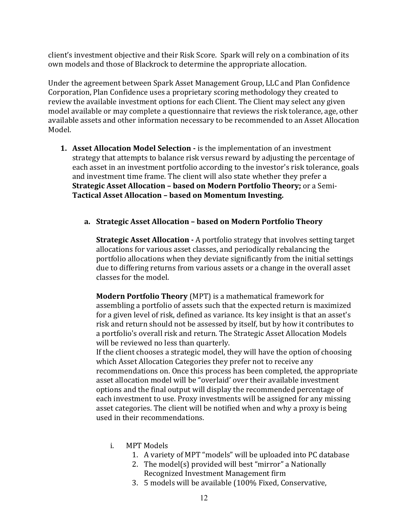client's investment objective and their Risk Score. Spark will rely on a combination of its own models and those of Blackrock to determine the appropriate allocation.

Under the agreement between Spark Asset Management Group, LLC and Plan Confidence Corporation, Plan Confidence uses a proprietary scoring methodology they created to review the available investment options for each Client. The Client may select any given model available or may complete a questionnaire that reviews the risk tolerance, age, other available assets and other information necessary to be recommended to an Asset Allocation Model.

**1. Asset Allocation Model Selection -** is the implementation of an investment strategy that attempts to balance risk versus reward by adjusting the percentage of each asset in an investment portfolio according to the investor's risk tolerance, goals and investment time frame. The client will also state whether they prefer a **Strategic Asset Allocation - based on Modern Portfolio Theory;** or a Semi-**Tactical Asset Allocation – based on Momentum Investing.**

#### **a. Strategic Asset Allocation – based on Modern Portfolio Theory**

**Strategic Asset Allocation** - A portfolio strategy that involves setting target allocations for various asset classes, and periodically rebalancing the portfolio allocations when they deviate significantly from the initial settings due to differing returns from various assets or a change in the overall asset classes for the model.

**Modern Portfolio Theory** (MPT) is a mathematical framework for assembling a portfolio of assets such that the expected return is maximized for a given level of risk, defined as variance. Its key insight is that an asset's risk and return should not be assessed by itself, but by how it contributes to a portfolio's overall risk and return. The Strategic Asset Allocation Models will be reviewed no less than quarterly.

If the client chooses a strategic model, they will have the option of choosing which Asset Allocation Categories they prefer not to receive any recommendations on. Once this process has been completed, the appropriate asset allocation model will be "overlaid' over their available investment options and the final output will display the recommended percentage of each investment to use. Proxy investments will be assigned for any missing asset categories. The client will be notified when and why a proxy is being used in their recommendations.

- i. MPT Models
	- 1. A variety of MPT "models" will be uploaded into PC database
	- 2. The model(s) provided will best "mirror" a Nationally Recognized Investment Management firm
	- 3. 5 models will be available (100% Fixed, Conservative,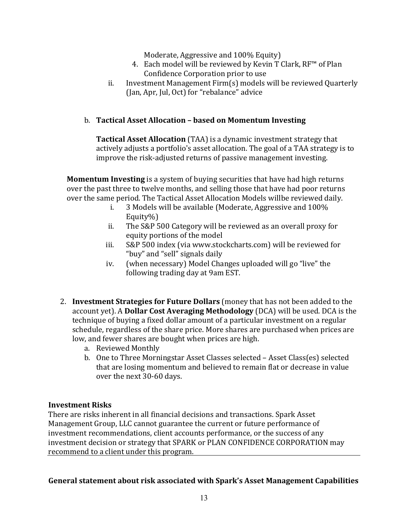Moderate, Aggressive and 100% Equity)

- 4. Each model will be reviewed by Kevin T Clark, RF™ of Plan Confidence Corporation prior to use
- ii. Investment Management  $Firm(s)$  models will be reviewed Quarterly (Jan, Apr, Jul, Oct) for "rebalance" advice

## b. **Tactical Asset Allocation – based on Momentum Investing**

**Tactical Asset Allocation** (TAA) is a dynamic investment strategy that actively adjusts a portfolio's asset allocation. The goal of a TAA strategy is to improve the risk-adjusted returns of passive management investing.

**Momentum Investing** is a system of buying securities that have had high returns over the past three to twelve months, and selling those that have had poor returns over the same period. The Tactical Asset Allocation Models willbe reviewed daily.

- i.  $3$  Models will be available (Moderate, Aggressive and  $100\%$ Equity%)
- ii. The S&P 500 Category will be reviewed as an overall proxy for equity portions of the model
- iii. S&P 500 index (via www.stockcharts.com) will be reviewed for "buy" and "sell" signals daily
- iv. (when necessary) Model Changes uploaded will go "live" the following trading day at 9am EST.
- 2. **Investment Strategies for Future Dollars** (money that has not been added to the account yet). A **Dollar Cost Averaging Methodology** (DCA) will be used. DCA is the technique of buying a fixed dollar amount of a particular investment on a regular schedule, regardless of the share price. More shares are purchased when prices are low, and fewer shares are bought when prices are high.
	- a. Reviewed Monthly
	- b. One to Three Morningstar Asset Classes selected Asset Class(es) selected that are losing momentum and believed to remain flat or decrease in value over the next 30-60 days.

## **Investment Risks**

There are risks inherent in all financial decisions and transactions. Spark Asset Management Group, LLC cannot guarantee the current or future performance of investment recommendations, client accounts performance, or the success of any investment decision or strategy that SPARK or PLAN CONFIDENCE CORPORATION may recommend to a client under this program.

## General statement about risk associated with Spark's Asset Management Capabilities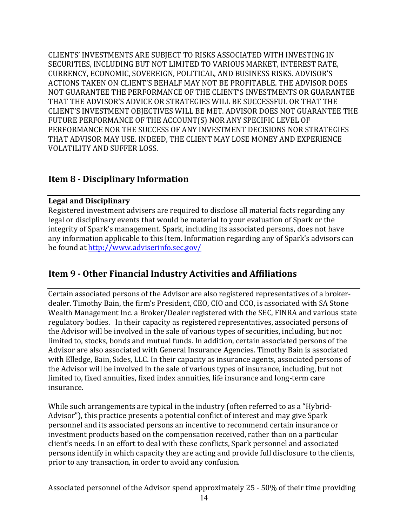CLIENTS' INVESTMENTS ARE SUBJECT TO RISKS ASSOCIATED WITH INVESTING IN SECURITIES, INCLUDING BUT NOT LIMITED TO VARIOUS MARKET, INTEREST RATE, CURRENCY, ECONOMIC, SOVEREIGN, POLITICAL, AND BUSINESS RISKS. ADVISOR'S ACTIONS TAKEN ON CLIENT'S BEHALF MAY NOT BE PROFITABLE. THE ADVISOR DOES NOT GUARANTEE THE PERFORMANCE OF THE CLIENT'S INVESTMENTS OR GUARANTEE THAT THE ADVISOR'S ADVICE OR STRATEGIES WILL BE SUCCESSFUL OR THAT THE CLIENT'S INVESTMENT OBJECTIVES WILL BE MET. ADVISOR DOES NOT GUARANTEE THE FUTURE PERFORMANCE OF THE ACCOUNT(S) NOR ANY SPECIFIC LEVEL OF PERFORMANCE NOR THE SUCCESS OF ANY INVESTMENT DECISIONS NOR STRATEGIES THAT ADVISOR MAY USE. INDEED, THE CLIENT MAY LOSE MONEY AND EXPERIENCE VOLATILITY AND SUFFER LOSS.

## **Item 8 - Disciplinary Information**

#### **Legal and Disciplinary**

Registered investment advisers are required to disclose all material facts regarding any legal or disciplinary events that would be material to your evaluation of Spark or the integrity of Spark's management. Spark, including its associated persons, does not have any information applicable to this Item. Information regarding any of Spark's advisors can be found at http://www.adviserinfo.sec.gov/

# **Item 9 - Other Financial Industry Activities and Affiliations**

Certain associated persons of the Advisor are also registered representatives of a brokerdealer. Timothy Bain, the firm's President, CEO, CIO and CCO, is associated with SA Stone Wealth Management Inc. a Broker/Dealer registered with the SEC, FINRA and various state regulatory bodies. In their capacity as registered representatives, associated persons of the Advisor will be involved in the sale of various types of securities, including, but not limited to, stocks, bonds and mutual funds. In addition, certain associated persons of the Advisor are also associated with General Insurance Agencies. Timothy Bain is associated with Elledge, Bain, Sides, LLC. In their capacity as insurance agents, associated persons of the Advisor will be involved in the sale of various types of insurance, including, but not limited to, fixed annuities, fixed index annuities, life insurance and long-term care insurance.

While such arrangements are typical in the industry (often referred to as a "Hybrid-Advisor"), this practice presents a potential conflict of interest and may give Spark personnel and its associated persons an incentive to recommend certain insurance or investment products based on the compensation received, rather than on a particular client's needs. In an effort to deal with these conflicts, Spark personnel and associated persons identify in which capacity they are acting and provide full disclosure to the clients, prior to any transaction, in order to avoid any confusion.

Associated personnel of the Advisor spend approximately 25 - 50% of their time providing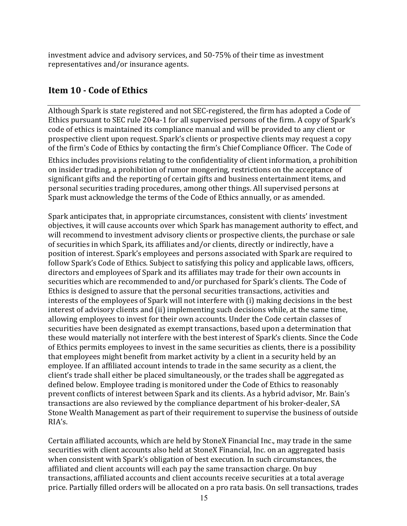investment advice and advisory services, and 50-75% of their time as investment representatives and/or insurance agents.

# **Item 10 - Code of Ethics**

Although Spark is state registered and not SEC-registered, the firm has adopted a Code of Ethics pursuant to SEC rule 204a-1 for all supervised persons of the firm. A copy of Spark's code of ethics is maintained its compliance manual and will be provided to any client or prospective client upon request. Spark's clients or prospective clients may request a copy of the firm's Code of Ethics by contacting the firm's Chief Compliance Officer. The Code of

Ethics includes provisions relating to the confidentiality of client information, a prohibition on insider trading, a prohibition of rumor mongering, restrictions on the acceptance of significant gifts and the reporting of certain gifts and business entertainment items, and personal securities trading procedures, among other things. All supervised persons at Spark must acknowledge the terms of the Code of Ethics annually, or as amended.

Spark anticipates that, in appropriate circumstances, consistent with clients' investment objectives, it will cause accounts over which Spark has management authority to effect, and will recommend to investment advisory clients or prospective clients, the purchase or sale of securities in which Spark, its affiliates and/or clients, directly or indirectly, have a position of interest. Spark's employees and persons associated with Spark are required to follow Spark's Code of Ethics. Subject to satisfying this policy and applicable laws, officers, directors and employees of Spark and its affiliates may trade for their own accounts in securities which are recommended to and/or purchased for Spark's clients. The Code of Ethics is designed to assure that the personal securities transactions, activities and interests of the employees of Spark will not interfere with (i) making decisions in the best interest of advisory clients and (ii) implementing such decisions while, at the same time, allowing employees to invest for their own accounts. Under the Code certain classes of securities have been designated as exempt transactions, based upon a determination that these would materially not interfere with the best interest of Spark's clients. Since the Code of Ethics permits employees to invest in the same securities as clients, there is a possibility that employees might benefit from market activity by a client in a security held by an employee. If an affiliated account intends to trade in the same security as a client, the client's trade shall either be placed simultaneously, or the trades shall be aggregated as defined below. Employee trading is monitored under the Code of Ethics to reasonably prevent conflicts of interest between Spark and its clients. As a hybrid advisor, Mr. Bain's transactions are also reviewed by the compliance department of his broker-dealer, SA Stone Wealth Management as part of their requirement to supervise the business of outside RIA's.

Certain affiliated accounts, which are held by StoneX Financial Inc., may trade in the same securities with client accounts also held at StoneX Financial, Inc. on an aggregated basis when consistent with Spark's obligation of best execution. In such circumstances, the affiliated and client accounts will each pay the same transaction charge. On buy transactions, affiliated accounts and client accounts receive securities at a total average price. Partially filled orders will be allocated on a pro rata basis. On sell transactions, trades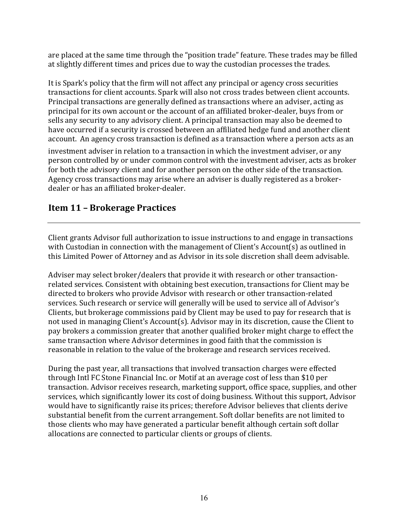are placed at the same time through the "position trade" feature. These trades may be filled at slightly different times and prices due to way the custodian processes the trades.

It is Spark's policy that the firm will not affect any principal or agency cross securities transactions for client accounts. Spark will also not cross trades between client accounts. Principal transactions are generally defined as transactions where an adviser, acting as principal for its own account or the account of an affiliated broker-dealer, buys from or sells any security to any advisory client. A principal transaction may also be deemed to have occurred if a security is crossed between an affiliated hedge fund and another client account. An agency cross transaction is defined as a transaction where a person acts as an

investment adviser in relation to a transaction in which the investment adviser, or any person controlled by or under common control with the investment adviser, acts as broker for both the advisory client and for another person on the other side of the transaction. Agency cross transactions may arise where an adviser is dually registered as a brokerdealer or has an affiliated broker-dealer.

# **Item 11 – Brokerage Practices**

Client grants Advisor full authorization to issue instructions to and engage in transactions with Custodian in connection with the management of Client's Account(s) as outlined in this Limited Power of Attorney and as Advisor in its sole discretion shall deem advisable.

Adviser may select broker/dealers that provide it with research or other transactionrelated services. Consistent with obtaining best execution, transactions for Client may be directed to brokers who provide Advisor with research or other transaction-related services. Such research or service will generally will be used to service all of Advisor's Clients, but brokerage commissions paid by Client may be used to pay for research that is not used in managing Client's  $Account(s)$ . Advisor may in its discretion, cause the Client to pay brokers a commission greater that another qualified broker might charge to effect the same transaction where Advisor determines in good faith that the commission is reasonable in relation to the value of the brokerage and research services received.

During the past year, all transactions that involved transaction charges were effected through Intl FC Stone Financial Inc. or Motif at an average cost of less than \$10 per transaction. Advisor receives research, marketing support, office space, supplies, and other services, which significantly lower its cost of doing business. Without this support, Advisor would have to significantly raise its prices; therefore Advisor believes that clients derive substantial benefit from the current arrangement. Soft dollar benefits are not limited to those clients who may have generated a particular benefit although certain soft dollar allocations are connected to particular clients or groups of clients.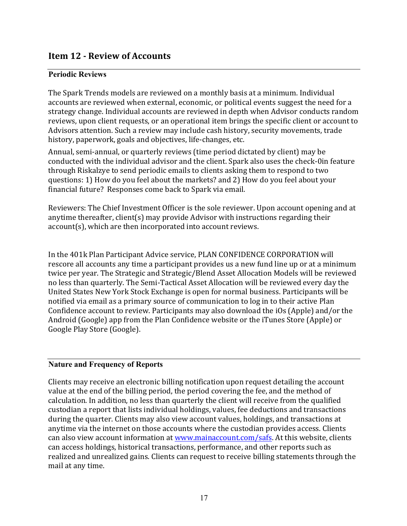# **Item 12 - Review of Accounts**

## **Periodic Reviews**

The Spark Trends models are reviewed on a monthly basis at a minimum. Individual accounts are reviewed when external, economic, or political events suggest the need for a strategy change. Individual accounts are reviewed in depth when Advisor conducts random reviews, upon client requests, or an operational item brings the specific client or account to Advisors attention. Such a review may include cash history, security movements, trade history, paperwork, goals and objectives, life-changes, etc.

Annual, semi-annual, or quarterly reviews (time period dictated by client) may be conducted with the individual advisor and the client. Spark also uses the check-0in feature through Riskalzye to send periodic emails to clients asking them to respond to two questions: 1) How do you feel about the markets? and 2) How do you feel about your financial future? Responses come back to Spark via email.

Reviewers: The Chief Investment Officer is the sole reviewer. Upon account opening and at anytime thereafter, client(s) may provide Advisor with instructions regarding their account(s), which are then incorporated into account reviews.

In the 401k Plan Participant Advice service, PLAN CONFIDENCE CORPORATION will rescore all accounts any time a participant provides us a new fund line up or at a minimum twice per year. The Strategic and Strategic/Blend Asset Allocation Models will be reviewed no less than quarterly. The Semi-Tactical Asset Allocation will be reviewed every day the United States New York Stock Exchange is open for normal business. Participants will be notified via email as a primary source of communication to log in to their active Plan Confidence account to review. Participants may also download the iOs (Apple) and/or the Android (Google) app from the Plan Confidence website or the iTunes Store (Apple) or Google Play Store (Google).

## **Nature and Frequency of Reports**

Clients may receive an electronic billing notification upon request detailing the account value at the end of the billing period, the period covering the fee, and the method of calculation. In addition, no less than quarterly the client will receive from the qualified custodian a report that lists individual holdings, values, fee deductions and transactions during the quarter. Clients may also view account values, holdings, and transactions at anytime via the internet on those accounts where the custodian provides access. Clients can also view account information at www.mainaccount.com/safs. At this website, clients can access holdings, historical transactions, performance, and other reports such as realized and unrealized gains. Clients can request to receive billing statements through the mail at any time.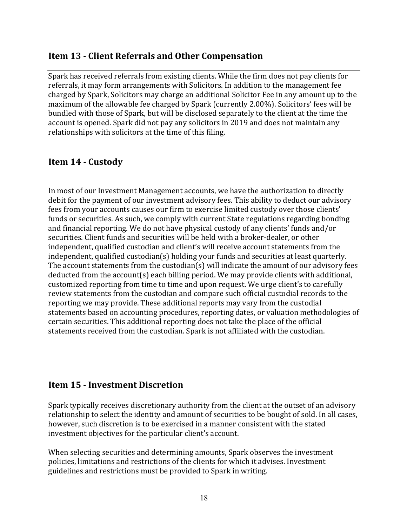# **Item 13 - Client Referrals and Other Compensation**

Spark has received referrals from existing clients. While the firm does not pay clients for referrals, it may form arrangements with Solicitors. In addition to the management fee charged by Spark, Solicitors may charge an additional Solicitor Fee in any amount up to the maximum of the allowable fee charged by Spark (currently 2.00%). Solicitors' fees will be bundled with those of Spark, but will be disclosed separately to the client at the time the account is opened. Spark did not pay any solicitors in 2019 and does not maintain any relationships with solicitors at the time of this filing.

# **Item 14 - Custody**

In most of our Investment Management accounts, we have the authorization to directly debit for the payment of our investment advisory fees. This ability to deduct our advisory fees from your accounts causes our firm to exercise limited custody over those clients' funds or securities. As such, we comply with current State regulations regarding bonding and financial reporting. We do not have physical custody of any clients' funds and/or securities. Client funds and securities will be held with a broker-dealer, or other independent, qualified custodian and client's will receive account statements from the  $independent, qualified custodian(s) holding your funds and securities at least quarterly.$ The account statements from the custodian(s) will indicate the amount of our advisory fees  $deducted from the account(s) each billing period. We may provide clients with additional,$ customized reporting from time to time and upon request. We urge client's to carefully review statements from the custodian and compare such official custodial records to the reporting we may provide. These additional reports may vary from the custodial statements based on accounting procedures, reporting dates, or valuation methodologies of certain securities. This additional reporting does not take the place of the official statements received from the custodian. Spark is not affiliated with the custodian.

# **Item 15 - Investment Discretion**

Spark typically receives discretionary authority from the client at the outset of an advisory relationship to select the identity and amount of securities to be bought of sold. In all cases, however, such discretion is to be exercised in a manner consistent with the stated investment objectives for the particular client's account.

When selecting securities and determining amounts, Spark observes the investment policies, limitations and restrictions of the clients for which it advises. Investment guidelines and restrictions must be provided to Spark in writing.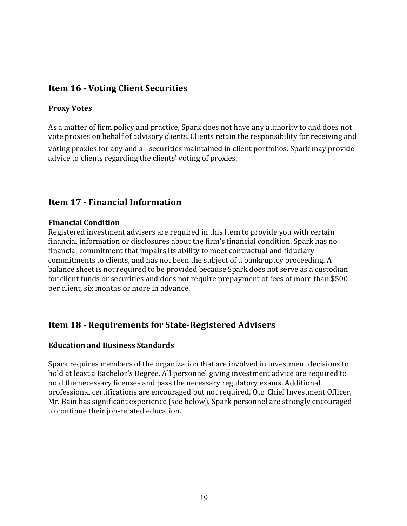# **Item 16 - Voting Client Securities**

#### **Proxy Votes**

As a matter of firm policy and practice, Spark does not have any authority to and does not vote proxies on behalf of advisory clients. Clients retain the responsibility for receiving and

voting proxies for any and all securities maintained in client portfolios. Spark may provide advice to clients regarding the clients' voting of proxies.

# **Item 17 - Financial Information**

## **Financial Condition**

Registered investment advisers are required in this Item to provide you with certain financial information or disclosures about the firm's financial condition. Spark has no financial commitment that impairs its ability to meet contractual and fiduciary commitments to clients, and has not been the subject of a bankruptcy proceeding. A balance sheet is not required to be provided because Spark does not serve as a custodian for client funds or securities and does not require prepayment of fees of more than \$500 per client, six months or more in advance.

# **Item 18 - Requirements for State-Registered Advisers**

## **Education and Business Standards**

Spark requires members of the organization that are involved in investment decisions to hold at least a Bachelor's Degree. All personnel giving investment advice are required to hold the necessary licenses and pass the necessary regulatory exams. Additional professional certifications are encouraged but not required. Our Chief Investment Officer, Mr. Bain has significant experience (see below). Spark personnel are strongly encouraged to continue their job-related education.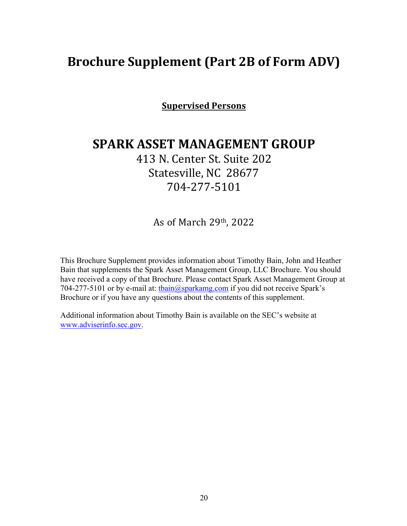# **Brochure Supplement (Part 2B of Form ADV)**

**Supervised Persons**

# **SPARK ASSET MANAGEMENT GROUP**

413 N. Center St. Suite 202 Statesville, NC 28677 704-277-5101

As of March 29th, 2022

This Brochure Supplement provides information about Timothy Bain, John and Heather Bain that supplements the Spark Asset Management Group, LLC Brochure. You should have received a copy of that Brochure. Please contact Spark Asset Management Group at 704-277-5101 or by e-mail at:  $\frac{\text{chain}(a) \cdot \text{sqrt}(b)}{b}$  if you did not receive Spark's Brochure or if you have any questions about the contents of this supplement.

Additional information about Timothy Bain is available on the SEC's website at www.adviserinfo.sec.gov.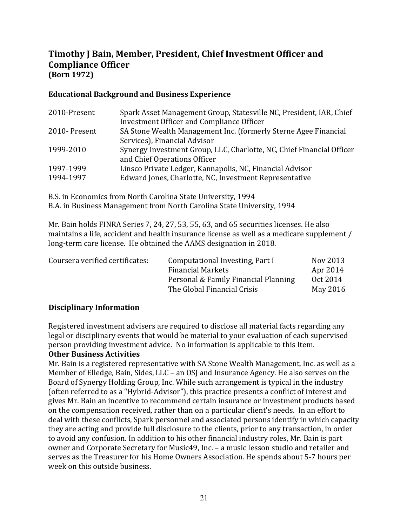# **Timothy J Bain, Member, President, Chief Investment Officer and Compliance Officer (Born 1972)**

### **Educational Background and Business Experience**

| 2010-Present | Spark Asset Management Group, Statesville NC, President, IAR, Chief   |
|--------------|-----------------------------------------------------------------------|
|              | Investment Officer and Compliance Officer                             |
| 2010-Present | SA Stone Wealth Management Inc. (formerly Sterne Agee Financial       |
|              | Services), Financial Advisor                                          |
| 1999-2010    | Synergy Investment Group, LLC, Charlotte, NC, Chief Financial Officer |
|              | and Chief Operations Officer                                          |
| 1997-1999    | Linsco Private Ledger, Kannapolis, NC, Financial Advisor              |
| 1994-1997    | Edward Jones, Charlotte, NC, Investment Representative                |

B.S. in Economics from North Carolina State University, 1994 B.A. in Business Management from North Carolina State University, 1994

Mr. Bain holds FINRA Series 7, 24, 27, 53, 55, 63, and 65 securities licenses. He also maintains a life, accident and health insurance license as well as a medicare supplement / long-term care license. He obtained the AAMS designation in 2018.

| Coursera verified certificates: | Computational Investing, Part I      | Nov 2013 |
|---------------------------------|--------------------------------------|----------|
|                                 | <b>Financial Markets</b>             | Apr 2014 |
|                                 | Personal & Family Financial Planning | Oct 2014 |
|                                 | The Global Financial Crisis          | May 2016 |

## **Disciplinary Information**

Registered investment advisers are required to disclose all material facts regarding any legal or disciplinary events that would be material to your evaluation of each supervised person providing investment advice. No information is applicable to this Item.

#### **Other Business Activities**

Mr. Bain is a registered representative with SA Stone Wealth Management, Inc. as well as a Member of Elledge, Bain, Sides, LLC – an OSJ and Insurance Agency. He also serves on the Board of Synergy Holding Group, Inc. While such arrangement is typical in the industry (often referred to as a "Hybrid-Advisor"), this practice presents a conflict of interest and gives Mr. Bain an incentive to recommend certain insurance or investment products based on the compensation received, rather than on a particular client's needs. In an effort to deal with these conflicts, Spark personnel and associated persons identify in which capacity they are acting and provide full disclosure to the clients, prior to any transaction, in order to avoid any confusion. In addition to his other financial industry roles, Mr. Bain is part owner and Corporate Secretary for Music49, Inc. - a music lesson studio and retailer and serves as the Treasurer for his Home Owners Association. He spends about 5-7 hours per week on this outside business.